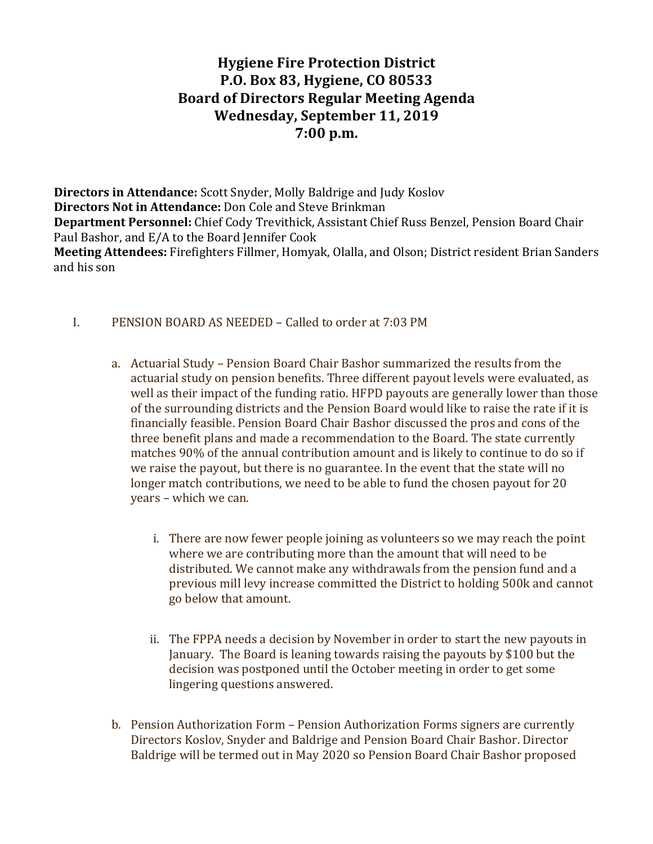# **Hygiene Fire Protection District P.O. Box 83, Hygiene, CO 80533 Board of Directors Regular Meeting Agenda Wednesday, September 11, 2019 7:00 p.m.**

**Directors in Attendance:** Scott Snyder, Molly Baldrige and Judy Koslov **Directors Not in Attendance:** Don Cole and Steve Brinkman **Department Personnel:** Chief Cody Trevithick, Assistant Chief Russ Benzel, Pension Board Chair Paul Bashor, and E/A to the Board Jennifer Cook **Meeting Attendees:** Firefighters Fillmer, Homyak, Olalla, and Olson; District resident Brian Sanders and his son

- I. PENSION BOARD AS NEEDED Called to order at 7:03 PM
	- a. Actuarial Study Pension Board Chair Bashor summarized the results from the actuarial study on pension benefits. Three different payout levels were evaluated, as well as their impact of the funding ratio. HFPD payouts are generally lower than those of the surrounding districts and the Pension Board would like to raise the rate if it is financially feasible. Pension Board Chair Bashor discussed the pros and cons of the three benefit plans and made a recommendation to the Board. The state currently matches 90% of the annual contribution amount and is likely to continue to do so if we raise the payout, but there is no guarantee. In the event that the state will no longer match contributions, we need to be able to fund the chosen payout for 20 years - which we can.
		- i. There are now fewer people joining as volunteers so we may reach the point where we are contributing more than the amount that will need to be distributed. We cannot make any withdrawals from the pension fund and a previous mill levy increase committed the District to holding 500k and cannot go below that amount.
		- ii. The FPPA needs a decision by November in order to start the new payouts in January. The Board is leaning towards raising the payouts by \$100 but the decision was postponed until the October meeting in order to get some lingering questions answered.
	- b. Pension Authorization Form Pension Authorization Forms signers are currently Directors Koslov, Snyder and Baldrige and Pension Board Chair Bashor. Director Baldrige will be termed out in May 2020 so Pension Board Chair Bashor proposed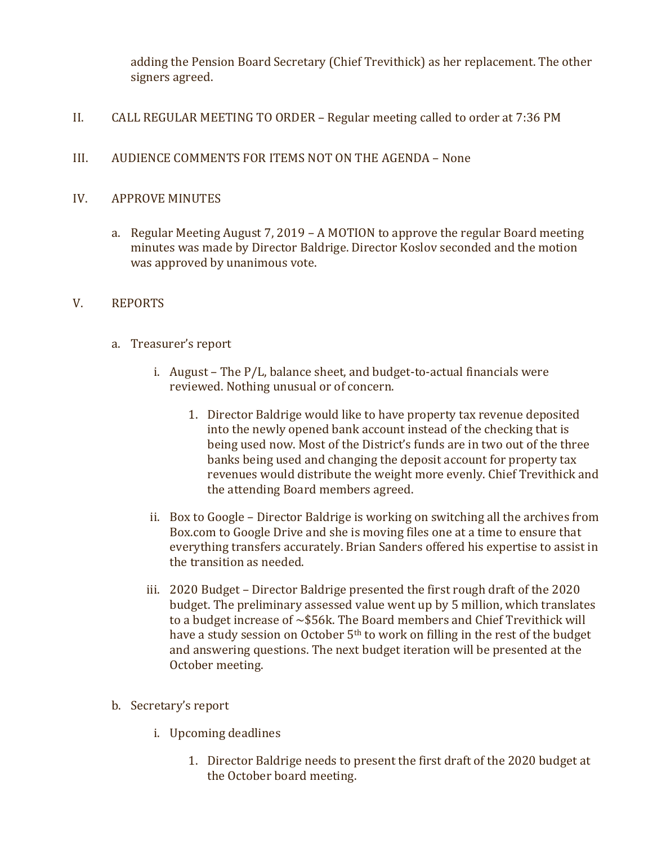adding the Pension Board Secretary (Chief Trevithick) as her replacement. The other signers agreed.

- II. CALL REGULAR MEETING TO ORDER Regular meeting called to order at 7:36 PM
- III. AUDIENCE COMMENTS FOR ITEMS NOT ON THE AGENDA None

# IV. APPROVE MINUTES

a. Regular Meeting August 7, 2019 – A MOTION to approve the regular Board meeting minutes was made by Director Baldrige. Director Koslov seconded and the motion was approved by unanimous vote.

## V. REPORTS

- a. Treasurer's report
	- i. August The  $P/L$ , balance sheet, and budget-to-actual financials were reviewed. Nothing unusual or of concern.
		- 1. Director Baldrige would like to have property tax revenue deposited into the newly opened bank account instead of the checking that is being used now. Most of the District's funds are in two out of the three banks being used and changing the deposit account for property tax revenues would distribute the weight more evenly. Chief Trevithick and the attending Board members agreed.
	- ii. Box to Google Director Baldrige is working on switching all the archives from Box.com to Google Drive and she is moving files one at a time to ensure that everything transfers accurately. Brian Sanders offered his expertise to assist in the transition as needed.
	- iii. 2020 Budget Director Baldrige presented the first rough draft of the 2020 budget. The preliminary assessed value went up by 5 million, which translates to a budget increase of  $\sim$ \$56k. The Board members and Chief Trevithick will have a study session on October  $5<sup>th</sup>$  to work on filling in the rest of the budget and answering questions. The next budget iteration will be presented at the October meeting.
- b. Secretary's report
	- i. Upcoming deadlines
		- 1. Director Baldrige needs to present the first draft of the 2020 budget at the October board meeting.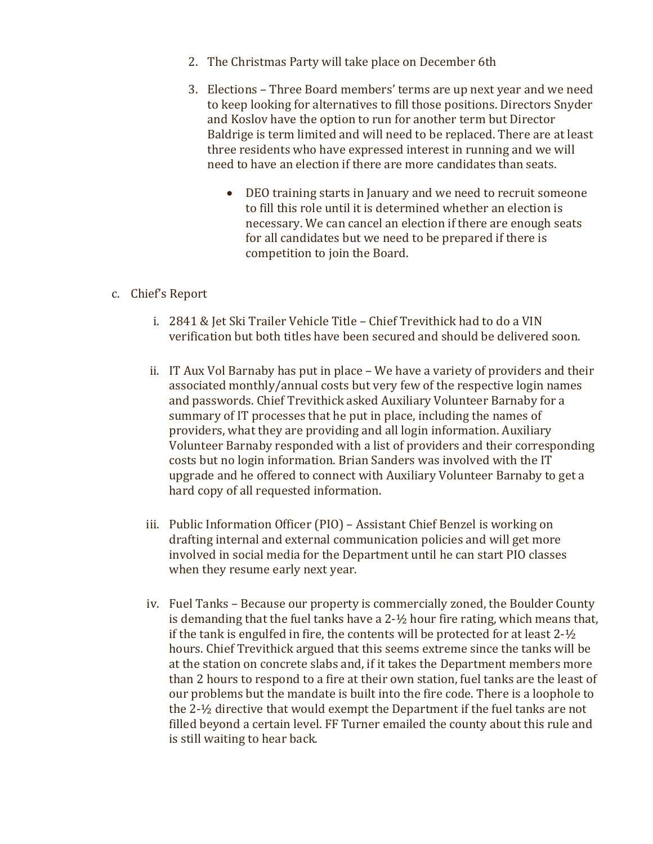- 2. The Christmas Party will take place on December 6th
- 3. Elections Three Board members' terms are up next year and we need to keep looking for alternatives to fill those positions. Directors Snyder and Koslov have the option to run for another term but Director Baldrige is term limited and will need to be replaced. There are at least three residents who have expressed interest in running and we will need to have an election if there are more candidates than seats.
	- DEO training starts in January and we need to recruit someone to fill this role until it is determined whether an election is necessary. We can cancel an election if there are enough seats for all candidates but we need to be prepared if there is competition to join the Board.

## c. Chief's Report

- i. 2841 & Jet Ski Trailer Vehicle Title Chief Trevithick had to do a VIN verification but both titles have been secured and should be delivered soon.
- ii. IT Aux Vol Barnaby has put in place We have a variety of providers and their associated monthly/annual costs but very few of the respective login names and passwords. Chief Trevithick asked Auxiliary Volunteer Barnaby for a summary of IT processes that he put in place, including the names of providers, what they are providing and all login information. Auxiliary Volunteer Barnaby responded with a list of providers and their corresponding costs but no login information. Brian Sanders was involved with the IT upgrade and he offered to connect with Auxiliary Volunteer Barnaby to get a hard copy of all requested information.
- iii. Public Information Officer (PIO) Assistant Chief Benzel is working on drafting internal and external communication policies and will get more involved in social media for the Department until he can start PIO classes when they resume early next year.
- iv. Fuel Tanks Because our property is commercially zoned, the Boulder County is demanding that the fuel tanks have a  $2-½$  hour fire rating, which means that, if the tank is engulfed in fire, the contents will be protected for at least  $2-\frac{1}{2}$ hours. Chief Trevithick argued that this seems extreme since the tanks will be at the station on concrete slabs and, if it takes the Department members more than 2 hours to respond to a fire at their own station, fuel tanks are the least of our problems but the mandate is built into the fire code. There is a loophole to the  $2-\frac{1}{2}$  directive that would exempt the Department if the fuel tanks are not filled beyond a certain level. FF Turner emailed the county about this rule and is still waiting to hear back.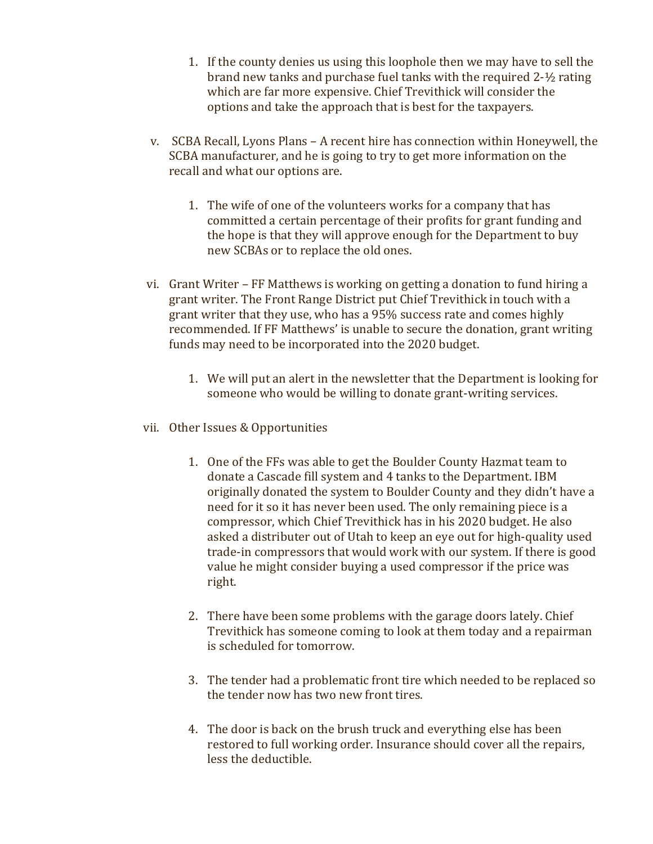- 1. If the county denies us using this loophole then we may have to sell the brand new tanks and purchase fuel tanks with the required  $2-1/2$  rating which are far more expensive. Chief Trevithick will consider the options and take the approach that is best for the taxpayers.
- v. SCBA Recall, Lyons Plans A recent hire has connection within Honeywell, the SCBA manufacturer, and he is going to try to get more information on the recall and what our options are.
	- 1. The wife of one of the volunteers works for a company that has committed a certain percentage of their profits for grant funding and the hope is that they will approve enough for the Department to buy new SCBAs or to replace the old ones.
- vi. Grant Writer FF Matthews is working on getting a donation to fund hiring a grant writer. The Front Range District put Chief Trevithick in touch with a grant writer that they use, who has a 95% success rate and comes highly recommended. If FF Matthews' is unable to secure the donation, grant writing funds may need to be incorporated into the 2020 budget.
	- 1. We will put an alert in the newsletter that the Department is looking for someone who would be willing to donate grant-writing services.
- vii. Other Issues & Opportunities
	- 1. One of the FFs was able to get the Boulder County Hazmat team to donate a Cascade fill system and 4 tanks to the Department. IBM originally donated the system to Boulder County and they didn't have a need for it so it has never been used. The only remaining piece is a compressor, which Chief Trevithick has in his 2020 budget. He also asked a distributer out of Utah to keep an eye out for high-quality used trade-in compressors that would work with our system. If there is good value he might consider buying a used compressor if the price was right.
	- 2. There have been some problems with the garage doors lately. Chief Trevithick has someone coming to look at them today and a repairman is scheduled for tomorrow.
	- 3. The tender had a problematic front tire which needed to be replaced so the tender now has two new front tires.
	- 4. The door is back on the brush truck and everything else has been restored to full working order. Insurance should cover all the repairs, less the deductible.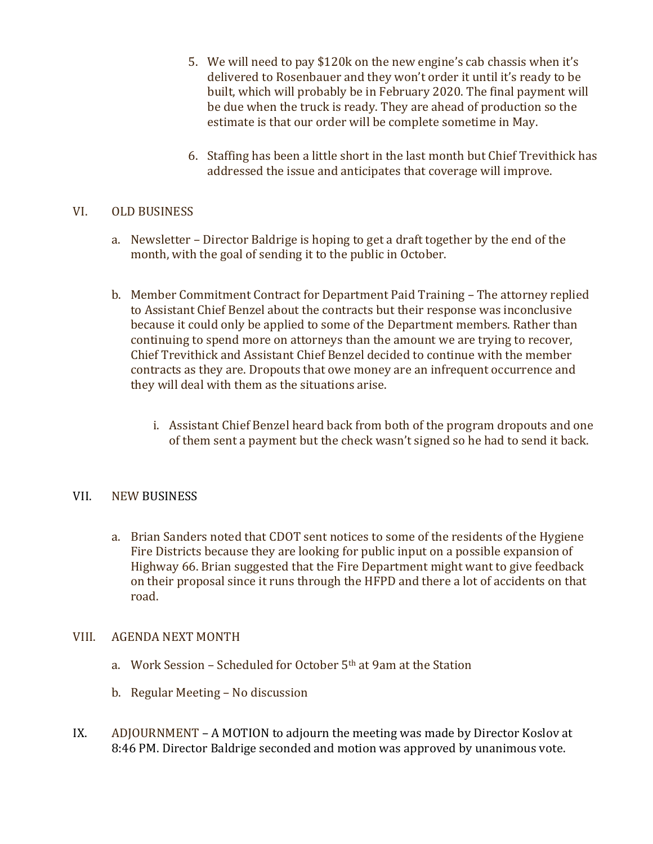- 5. We will need to pay \$120k on the new engine's cab chassis when it's delivered to Rosenbauer and they won't order it until it's ready to be built, which will probably be in February 2020. The final payment will be due when the truck is ready. They are ahead of production so the estimate is that our order will be complete sometime in May.
- 6. Staffing has been a little short in the last month but Chief Trevithick has addressed the issue and anticipates that coverage will improve.

# VI. OLD BUSINESS

- a. Newsletter Director Baldrige is hoping to get a draft together by the end of the month, with the goal of sending it to the public in October.
- b. Member Commitment Contract for Department Paid Training The attorney replied to Assistant Chief Benzel about the contracts but their response was inconclusive because it could only be applied to some of the Department members. Rather than continuing to spend more on attorneys than the amount we are trying to recover, Chief Trevithick and Assistant Chief Benzel decided to continue with the member contracts as they are. Dropouts that owe money are an infrequent occurrence and they will deal with them as the situations arise.
	- i. Assistant Chief Benzel heard back from both of the program dropouts and one of them sent a payment but the check wasn't signed so he had to send it back.

# VII. NEW BUSINESS

a. Brian Sanders noted that CDOT sent notices to some of the residents of the Hygiene Fire Districts because they are looking for public input on a possible expansion of Highway 66. Brian suggested that the Fire Department might want to give feedback on their proposal since it runs through the HFPD and there a lot of accidents on that road. 

#### VIII. AGENDA NEXT MONTH

- a. Work Session Scheduled for October  $5<sup>th</sup>$  at 9am at the Station
- b. Regular Meeting No discussion
- IX. ADJOURNMENT A MOTION to adjourn the meeting was made by Director Koslov at 8:46 PM. Director Baldrige seconded and motion was approved by unanimous vote.